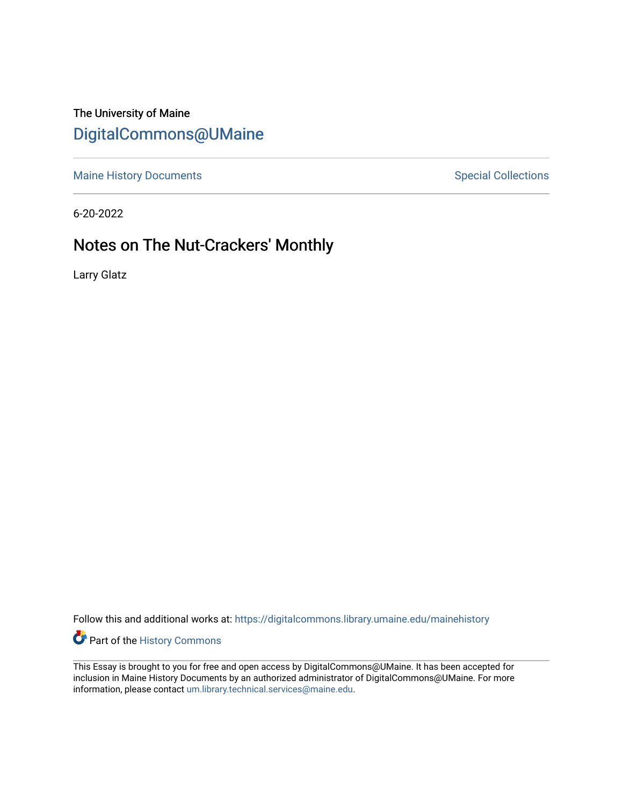The University of Maine [DigitalCommons@UMaine](https://digitalcommons.library.umaine.edu/)

[Maine History Documents](https://digitalcommons.library.umaine.edu/mainehistory) **Special Collections** Special Collections

6-20-2022

## Notes on The Nut-Crackers' Monthly

Larry Glatz

Follow this and additional works at: [https://digitalcommons.library.umaine.edu/mainehistory](https://digitalcommons.library.umaine.edu/mainehistory?utm_source=digitalcommons.library.umaine.edu%2Fmainehistory%2F528&utm_medium=PDF&utm_campaign=PDFCoverPages)

Part of the [History Commons](https://network.bepress.com/hgg/discipline/489?utm_source=digitalcommons.library.umaine.edu%2Fmainehistory%2F528&utm_medium=PDF&utm_campaign=PDFCoverPages) 

This Essay is brought to you for free and open access by DigitalCommons@UMaine. It has been accepted for inclusion in Maine History Documents by an authorized administrator of DigitalCommons@UMaine. For more information, please contact [um.library.technical.services@maine.edu](mailto:um.library.technical.services@maine.edu).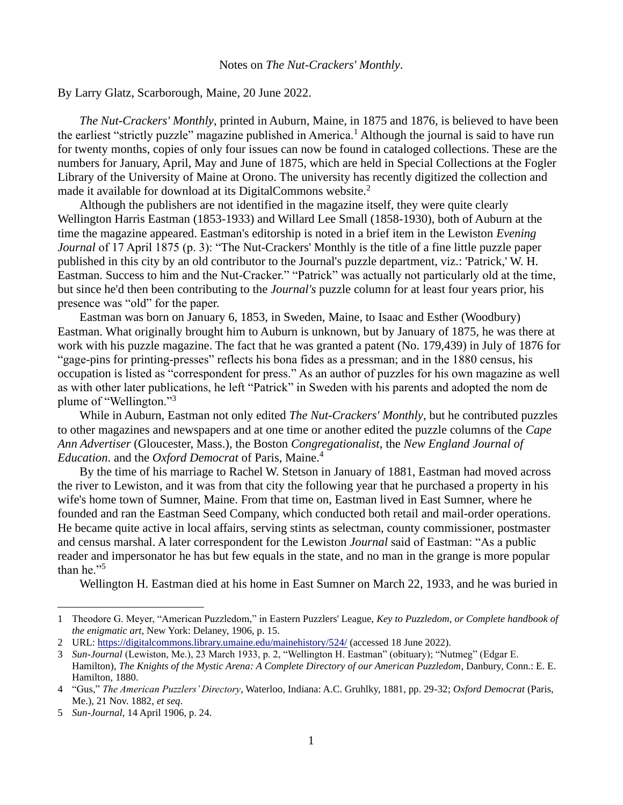## Notes on *The Nut-Crackers' Monthly*.

By Larry Glatz, Scarborough, Maine, 20 June 2022.

*The Nut-Crackers' Monthly*, printed in Auburn, Maine, in 1875 and 1876, is believed to have been the earliest "strictly puzzle" magazine published in America.<sup>1</sup> Although the journal is said to have run for twenty months, copies of only four issues can now be found in cataloged collections. These are the numbers for January, April, May and June of 1875, which are held in Special Collections at the Fogler Library of the University of Maine at Orono. The university has recently digitized the collection and made it available for download at its DigitalCommons website.<sup>2</sup>

Although the publishers are not identified in the magazine itself, they were quite clearly Wellington Harris Eastman (1853-1933) and Willard Lee Small (1858-1930), both of Auburn at the time the magazine appeared. Eastman's editorship is noted in a brief item in the Lewiston *Evening Journal* of 17 April 1875 (p. 3): "The Nut-Crackers' Monthly is the title of a fine little puzzle paper published in this city by an old contributor to the Journal's puzzle department, viz.: 'Patrick,' W. H. Eastman. Success to him and the Nut-Cracker." "Patrick" was actually not particularly old at the time, but since he'd then been contributing to the *Journal's* puzzle column for at least four years prior, his presence was "old" for the paper.

Eastman was born on January 6, 1853, in Sweden, Maine, to Isaac and Esther (Woodbury) Eastman. What originally brought him to Auburn is unknown, but by January of 1875, he was there at work with his puzzle magazine. The fact that he was granted a patent (No. 179,439) in July of 1876 for "gage-pins for printing-presses" reflects his bona fides as a pressman; and in the 1880 census, his occupation is listed as "correspondent for press." As an author of puzzles for his own magazine as well as with other later publications, he left "Patrick" in Sweden with his parents and adopted the nom de plume of "Wellington."<sup>3</sup>

While in Auburn, Eastman not only edited *The Nut-Crackers' Monthly*, but he contributed puzzles to other magazines and newspapers and at one time or another edited the puzzle columns of the *Cape Ann Advertiser* (Gloucester, Mass.), the Boston *Congregationalist*, the *New England Journal of Education*. and the *Oxford Democrat* of Paris, Maine.<sup>4</sup>

By the time of his marriage to Rachel W. Stetson in January of 1881, Eastman had moved across the river to Lewiston, and it was from that city the following year that he purchased a property in his wife's home town of Sumner, Maine. From that time on, Eastman lived in East Sumner, where he founded and ran the Eastman Seed Company, which conducted both retail and mail-order operations. He became quite active in local affairs, serving stints as selectman, county commissioner, postmaster and census marshal. A later correspondent for the Lewiston *Journal* said of Eastman: "As a public reader and impersonator he has but few equals in the state, and no man in the grange is more popular than he."<sup>5</sup>

Wellington H. Eastman died at his home in East Sumner on March 22, 1933, and he was buried in

<sup>1</sup> Theodore G. Meyer, "American Puzzledom," in Eastern Puzzlers' League, *Key to Puzzledom, or Complete handbook of the enigmatic art*, New York: Delaney, 1906, p. 15.

<sup>2</sup> URL:<https://digitalcommons.library.umaine.edu/mainehistory/524/> (accessed 18 June 2022).

<sup>3</sup> *Sun-Journal* (Lewiston, Me.), 23 March 1933, p. 2, "Wellington H. Eastman" (obituary); "Nutmeg" (Edgar E. Hamilton), *The Knights of the Mystic Arena: A Complete Directory of our American Puzzledom*, Danbury, Conn.: E. E. Hamilton, 1880.

<sup>4</sup> "Gus," *The American Puzzlers' Directory*, Waterloo, Indiana: A.C. Gruhlky, 1881, pp. 29-32; *Oxford Democrat* (Paris, Me.), 21 Nov. 1882, *et seq*.

<sup>5</sup> *Sun-Journal*, 14 April 1906, p. 24.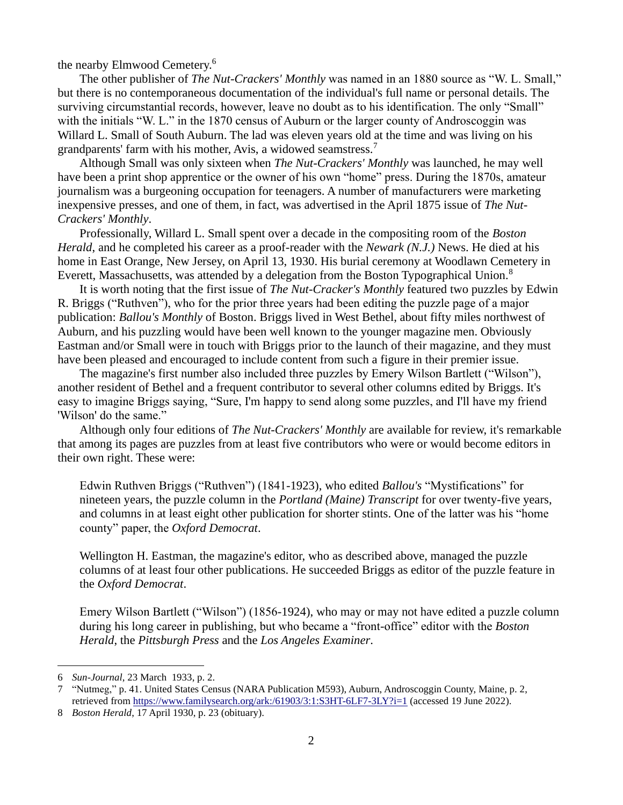the nearby Elmwood Cemetery.<sup>6</sup>

The other publisher of *The Nut-Crackers' Monthly* was named in an 1880 source as "W. L. Small," but there is no contemporaneous documentation of the individual's full name or personal details. The surviving circumstantial records, however, leave no doubt as to his identification. The only "Small" with the initials "W. L." in the 1870 census of Auburn or the larger county of Androscoggin was Willard L. Small of South Auburn. The lad was eleven years old at the time and was living on his grandparents' farm with his mother, Avis, a widowed seamstress.<sup>7</sup>

Although Small was only sixteen when *The Nut-Crackers' Monthly* was launched, he may well have been a print shop apprentice or the owner of his own "home" press. During the 1870s, amateur journalism was a burgeoning occupation for teenagers. A number of manufacturers were marketing inexpensive presses, and one of them, in fact, was advertised in the April 1875 issue of *The Nut-Crackers' Monthly*.

Professionally, Willard L. Small spent over a decade in the compositing room of the *Boston Herald*, and he completed his career as a proof-reader with the *Newark (N.J.)* News. He died at his home in East Orange, New Jersey, on April 13, 1930. His burial ceremony at Woodlawn Cemetery in Everett, Massachusetts, was attended by a delegation from the Boston Typographical Union.<sup>8</sup>

It is worth noting that the first issue of *The Nut-Cracker's Monthly* featured two puzzles by Edwin R. Briggs ("Ruthven"), who for the prior three years had been editing the puzzle page of a major publication: *Ballou's Monthly* of Boston. Briggs lived in West Bethel, about fifty miles northwest of Auburn, and his puzzling would have been well known to the younger magazine men. Obviously Eastman and/or Small were in touch with Briggs prior to the launch of their magazine, and they must have been pleased and encouraged to include content from such a figure in their premier issue.

The magazine's first number also included three puzzles by Emery Wilson Bartlett ("Wilson"), another resident of Bethel and a frequent contributor to several other columns edited by Briggs. It's easy to imagine Briggs saying, "Sure, I'm happy to send along some puzzles, and I'll have my friend 'Wilson' do the same."

Although only four editions of *The Nut-Crackers' Monthly* are available for review, it's remarkable that among its pages are puzzles from at least five contributors who were or would become editors in their own right. These were:

Edwin Ruthven Briggs ("Ruthven") (1841-1923), who edited *Ballou's* "Mystifications" for nineteen years, the puzzle column in the *Portland (Maine) Transcript* for over twenty-five years, and columns in at least eight other publication for shorter stints. One of the latter was his "home county" paper, the *Oxford Democrat*.

Wellington H. Eastman, the magazine's editor, who as described above, managed the puzzle columns of at least four other publications. He succeeded Briggs as editor of the puzzle feature in the *Oxford Democrat*.

Emery Wilson Bartlett ("Wilson") (1856-1924), who may or may not have edited a puzzle column during his long career in publishing, but who became a "front-office" editor with the *Boston Herald*, the *Pittsburgh Press* and the *Los Angeles Examiner*.

<sup>6</sup> *Sun-Journal*, 23 March 1933, p. 2.

<sup>7</sup> "Nutmeg," p. 41. United States Census (NARA Publication M593), Auburn, Androscoggin County, Maine, p. 2, retrieved from<https://www.familysearch.org/ark:/61903/3:1:S3HT-6LF7-3LY?i=1> (accessed 19 June 2022).

<sup>8</sup> *Boston Herald*, 17 April 1930, p. 23 (obituary).